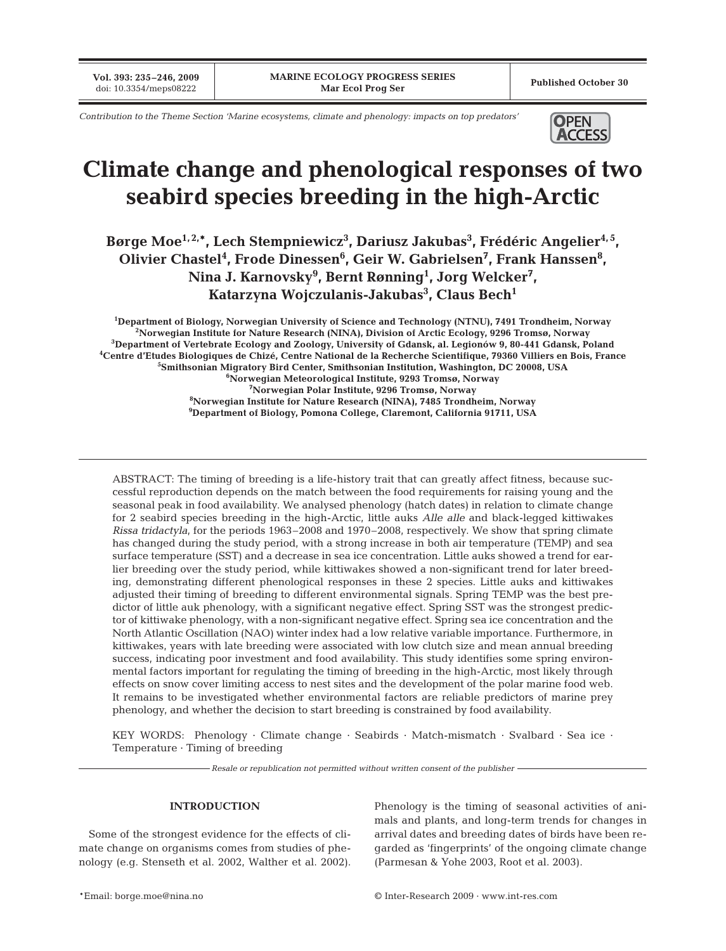**Vol. 393: 235–246, 2009**

*Contribution to the Theme Section 'Marine ecosystems, climate and phenology: impacts on top predators'* **OPEN** 



# **Climate change and phenological responses of two seabird species breeding in the high-Arctic**

Børge Moe<sup>1,2,</sup>\*, Lech Stempniewicz<sup>3</sup>, Dariusz Jakubas<sup>3</sup>, Frédéric Angelier<sup>4,5</sup>, Olivier Chastel<sup>4</sup>, Frode Dinessen<sup>6</sup>, Geir W. Gabrielsen<sup>7</sup>, Frank Hanssen<sup>8</sup>, **Nina J. Karnovsky9 , Bernt Rønning1 , Jorg Welcker7 , Katarzyna Wojczulanis-Jakubas3 , Claus Bech1**

 **Department of Biology, Norwegian University of Science and Technology (NTNU), 7491 Trondheim, Norway Norwegian Institute for Nature Research (NINA), Division of Arctic Ecology, 9296 Tromsø, Norway Department of Vertebrate Ecology and Zoology, University of Gdansk, al. Legionów 9, 80-441 Gdansk, Poland Centre d'Etudes Biologiques de Chizé, Centre National de la Recherche Scientifique, 79360 Villiers en Bois, France Smithsonian Migratory Bird Center, Smithsonian Institution, Washington, DC 20008, USA Norwegian Meteorological Institute, 9293 Tromsø, Norway Norwegian Polar Institute, 9296 Tromsø, Norway Norwegian Institute for Nature Research (NINA), 7485 Trondheim, Norway Department of Biology, Pomona College, Claremont, California 91711, USA**

ABSTRACT: The timing of breeding is a life-history trait that can greatly affect fitness, because successful reproduction depends on the match between the food requirements for raising young and the seasonal peak in food availability. We analysed phenology (hatch dates) in relation to climate change for 2 seabird species breeding in the high-Arctic, little auks *Alle alle* and black-legged kittiwakes *Rissa tridactyla*, for the periods 1963–2008 and 1970–2008, respectively. We show that spring climate has changed during the study period, with a strong increase in both air temperature (TEMP) and sea surface temperature (SST) and a decrease in sea ice concentration. Little auks showed a trend for earlier breeding over the study period, while kittiwakes showed a non-significant trend for later breeding, demonstrating different phenological responses in these 2 species. Little auks and kittiwakes adjusted their timing of breeding to different environmental signals. Spring TEMP was the best predictor of little auk phenology, with a significant negative effect. Spring SST was the strongest predictor of kittiwake phenology, with a non-significant negative effect. Spring sea ice concentration and the North Atlantic Oscillation (NAO) winter index had a low relative variable importance. Furthermore, in kittiwakes, years with late breeding were associated with low clutch size and mean annual breeding success, indicating poor investment and food availability. This study identifies some spring environmental factors important for regulating the timing of breeding in the high-Arctic, most likely through effects on snow cover limiting access to nest sites and the development of the polar marine food web. It remains to be investigated whether environmental factors are reliable predictors of marine prey phenology, and whether the decision to start breeding is constrained by food availability.

KEY WORDS: Phenology · Climate change · Seabirds · Match-mismatch · Svalbard · Sea ice · Temperature · Timing of breeding

*Resale or republication not permitted without written consent of the publisher*

## **INTRODUCTION**

Some of the strongest evidence for the effects of climate change on organisms comes from studies of phenology (e.g. Stenseth et al. 2002, Walther et al. 2002). Phenology is the timing of seasonal activities of animals and plants, and long-term trends for changes in arrival dates and breeding dates of birds have been regarded as 'fingerprints' of the ongoing climate change (Parmesan & Yohe 2003, Root et al. 2003).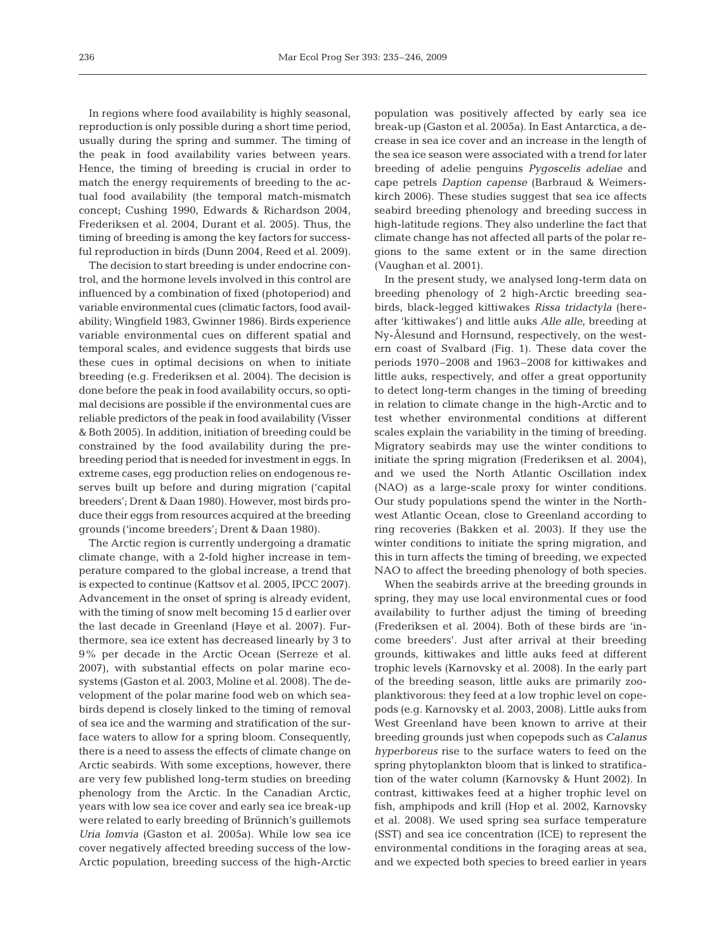In regions where food availability is highly seasonal, reproduction is only possible during a short time period, usually during the spring and summer. The timing of the peak in food availability varies between years. Hence, the timing of breeding is crucial in order to match the energy requirements of breeding to the actual food availability (the temporal match-mismatch concept; Cushing 1990, Edwards & Richardson 2004, Frederiksen et al. 2004, Durant et al. 2005). Thus, the timing of breeding is among the key factors for successful reproduction in birds (Dunn 2004, Reed et al. 2009).

The decision to start breeding is under endocrine control, and the hormone levels involved in this control are influenced by a combination of fixed (photoperiod) and variable environmental cues (climatic factors, food availability; Wingfield 1983, Gwinner 1986). Birds experience variable environmental cues on different spatial and temporal scales, and evidence suggests that birds use these cues in optimal decisions on when to initiate breeding (e.g. Frederiksen et al. 2004). The decision is done before the peak in food availability occurs, so optimal decisions are possible if the environmental cues are reliable predictors of the peak in food availability (Visser & Both 2005). In addition, initiation of breeding could be constrained by the food availability during the prebreeding period that is needed for investment in eggs. In extreme cases, egg production relies on endogenous reserves built up before and during migration ('capital breeders'; Drent & Daan 1980). However, most birds produce their eggs from resources acquired at the breeding grounds ('income breeders'; Drent & Daan 1980).

The Arctic region is currently undergoing a dramatic climate change, with a 2-fold higher increase in temperature compared to the global increase, a trend that is expected to continue (Kattsov et al. 2005, IPCC 2007). Advancement in the onset of spring is already evident, with the timing of snow melt becoming 15 d earlier over the last decade in Greenland (Høye et al. 2007). Furthermore, sea ice extent has decreased linearly by 3 to 9% per decade in the Arctic Ocean (Serreze et al. 2007), with substantial effects on polar marine ecosystems (Gaston et al. 2003, Moline et al. 2008). The development of the polar marine food web on which seabirds depend is closely linked to the timing of removal of sea ice and the warming and stratification of the surface waters to allow for a spring bloom. Consequently, there is a need to assess the effects of climate change on Arctic seabirds. With some exceptions, however, there are very few published long-term studies on breeding phenology from the Arctic. In the Canadian Arctic, years with low sea ice cover and early sea ice break-up were related to early breeding of Brünnich's guillemots *Uria lomvia* (Gaston et al. 2005a). While low sea ice cover negatively affected breeding success of the low-Arctic population, breeding success of the high-Arctic

population was positively affected by early sea ice break-up (Gaston et al. 2005a). In East Antarctica, a decrease in sea ice cover and an increase in the length of the sea ice season were associated with a trend for later breeding of adelie penguins *Pygoscelis adeliae* and cape petrels *Daption capense* (Barbraud & Weimerskirch 2006). These studies suggest that sea ice affects seabird breeding phenology and breeding success in high-latitude regions. They also underline the fact that climate change has not affected all parts of the polar regions to the same extent or in the same direction (Vaughan et al. 2001).

In the present study, we analysed long-term data on breeding phenology of 2 high-Arctic breeding seabirds, black-legged kittiwakes *Rissa tridactyla* (hereafter 'kittiwakes') and little auks *Alle alle*, breeding at Ny-Ålesund and Hornsund, respectively, on the western coast of Svalbard (Fig. 1). These data cover the periods 1970–2008 and 1963–2008 for kittiwakes and little auks, respectively, and offer a great opportunity to detect long-term changes in the timing of breeding in relation to climate change in the high-Arctic and to test whether environmental conditions at different scales explain the variability in the timing of breeding. Migratory seabirds may use the winter conditions to initiate the spring migration (Frederiksen et al. 2004), and we used the North Atlantic Oscillation index (NAO) as a large-scale proxy for winter conditions. Our study populations spend the winter in the Northwest Atlantic Ocean, close to Greenland according to ring recoveries (Bakken et al. 2003). If they use the winter conditions to initiate the spring migration, and this in turn affects the timing of breeding, we expected NAO to affect the breeding phenology of both species.

When the seabirds arrive at the breeding grounds in spring, they may use local environmental cues or food availability to further adjust the timing of breeding (Frederiksen et al. 2004). Both of these birds are 'income breeders'. Just after arrival at their breeding grounds, kittiwakes and little auks feed at different trophic levels (Karnovsky et al. 2008). In the early part of the breeding season, little auks are primarily zooplanktivorous: they feed at a low trophic level on copepods (e.g. Karnovsky et al. 2003, 2008). Little auks from West Greenland have been known to arrive at their breeding grounds just when copepods such as *Calanus hyperboreus* rise to the surface waters to feed on the spring phytoplankton bloom that is linked to stratification of the water column (Karnovsky & Hunt 2002). In contrast, kittiwakes feed at a higher trophic level on fish, amphipods and krill (Hop et al. 2002, Karnovsky et al. 2008). We used spring sea surface temperature (SST) and sea ice concentration (ICE) to represent the environmental conditions in the foraging areas at sea, and we expected both species to breed earlier in years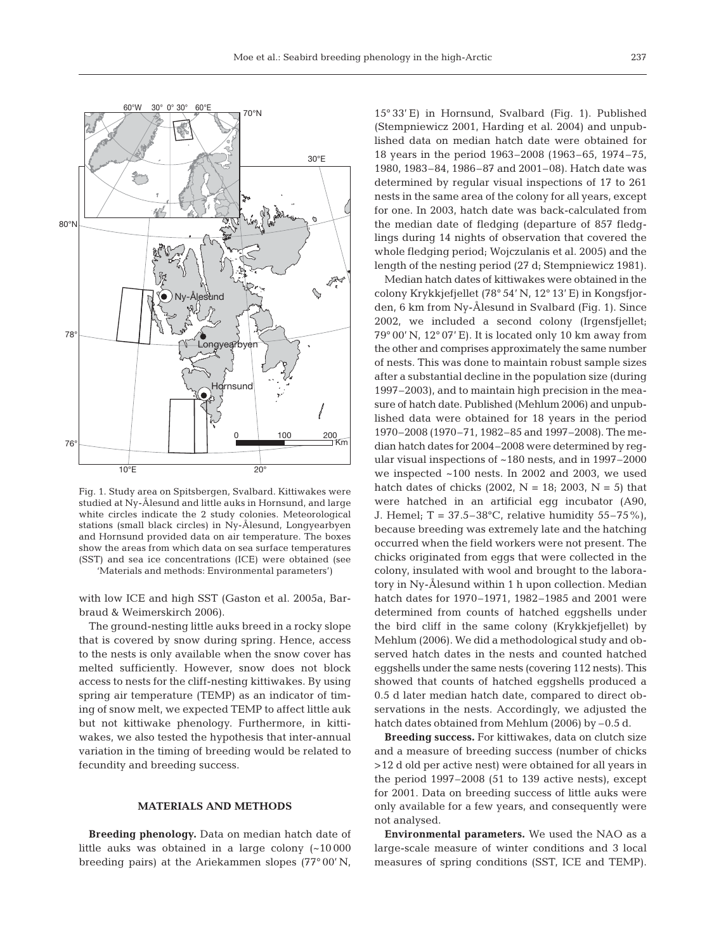

Fig. 1. Study area on Spitsbergen, Svalbard. Kittiwakes were studied at Ny-Ålesund and little auks in Hornsund, and large white circles indicate the 2 study colonies. Meteorological stations (small black circles) in Ny-Ålesund, Longyearbyen and Hornsund provided data on air temperature. The boxes show the areas from which data on sea surface temperatures (SST) and sea ice concentrations (ICE) were obtained (see 'Materials and methods: Environmental parameters')

with low ICE and high SST (Gaston et al. 2005a, Barbraud & Weimerskirch 2006).

The ground-nesting little auks breed in a rocky slope that is covered by snow during spring. Hence, access to the nests is only available when the snow cover has melted sufficiently. However, snow does not block access to nests for the cliff-nesting kittiwakes. By using spring air temperature (TEMP) as an indicator of timing of snow melt, we expected TEMP to affect little auk but not kittiwake phenology. Furthermore, in kittiwakes, we also tested the hypothesis that inter-annual variation in the timing of breeding would be related to fecundity and breeding success.

## **MATERIALS AND METHODS**

**Breeding phenology.** Data on median hatch date of little auks was obtained in a large colony (~10 000 breeding pairs) at the Ariekammen slopes (77° 00' N,

15° 33' E) in Hornsund, Svalbard (Fig. 1). Published (Stempniewicz 2001, Harding et al. 2004) and unpublished data on median hatch date were obtained for 18 years in the period 1963–2008 (1963–65, 1974–75, 1980, 1983–84, 1986–87 and 2001–08). Hatch date was determined by regular visual inspections of 17 to 261 nests in the same area of the colony for all years, except for one. In 2003, hatch date was back-calculated from the median date of fledging (departure of 857 fledglings during 14 nights of observation that covered the whole fledging period; Wojczulanis et al. 2005) and the length of the nesting period (27 d; Stempniewicz 1981).

Median hatch dates of kittiwakes were obtained in the colony Krykkjefjellet (78° 54' N, 12° 13' E) in Kongsfjorden, 6 km from Ny-Ålesund in Svalbard (Fig. 1). Since 2002, we included a second colony (Irgensfjellet; 79° 00' N, 12° 07' E). It is located only 10 km away from the other and comprises approximately the same number of nests. This was done to maintain robust sample sizes after a substantial decline in the population size (during 1997–2003), and to maintain high precision in the measure of hatch date. Published (Mehlum 2006) and unpublished data were obtained for 18 years in the period 1970–2008 (1970–71, 1982–85 and 1997–2008). The median hatch dates for 2004–2008 were determined by regular visual inspections of ~180 nests, and in 1997–2000 we inspected ~100 nests. In 2002 and 2003, we used hatch dates of chicks (2002,  $N = 18$ ; 2003,  $N = 5$ ) that were hatched in an artificial egg incubator (A90, J. Hemel;  $T = 37.5 - 38$ °C, relative humidity 55–75%), because breeding was extremely late and the hatching occurred when the field workers were not present. The chicks originated from eggs that were collected in the colony, insulated with wool and brought to the laboratory in Ny-Ålesund within 1 h upon collection. Median hatch dates for 1970–1971, 1982–1985 and 2001 were determined from counts of hatched eggshells under the bird cliff in the same colony (Krykkjefjellet) by Mehlum (2006). We did a methodological study and observed hatch dates in the nests and counted hatched eggshells under the same nests (covering 112 nests). This showed that counts of hatched eggshells produced a 0.5 d later median hatch date, compared to direct observations in the nests. Accordingly, we adjusted the hatch dates obtained from Mehlum (2006) by -0.5 d.

**Breeding success.** For kittiwakes, data on clutch size and a measure of breeding success (number of chicks >12 d old per active nest) were obtained for all years in the period 1997–2008 (51 to 139 active nests), except for 2001. Data on breeding success of little auks were only available for a few years, and consequently were not analysed.

**Environmental parameters.** We used the NAO as a large-scale measure of winter conditions and 3 local measures of spring conditions (SST, ICE and TEMP).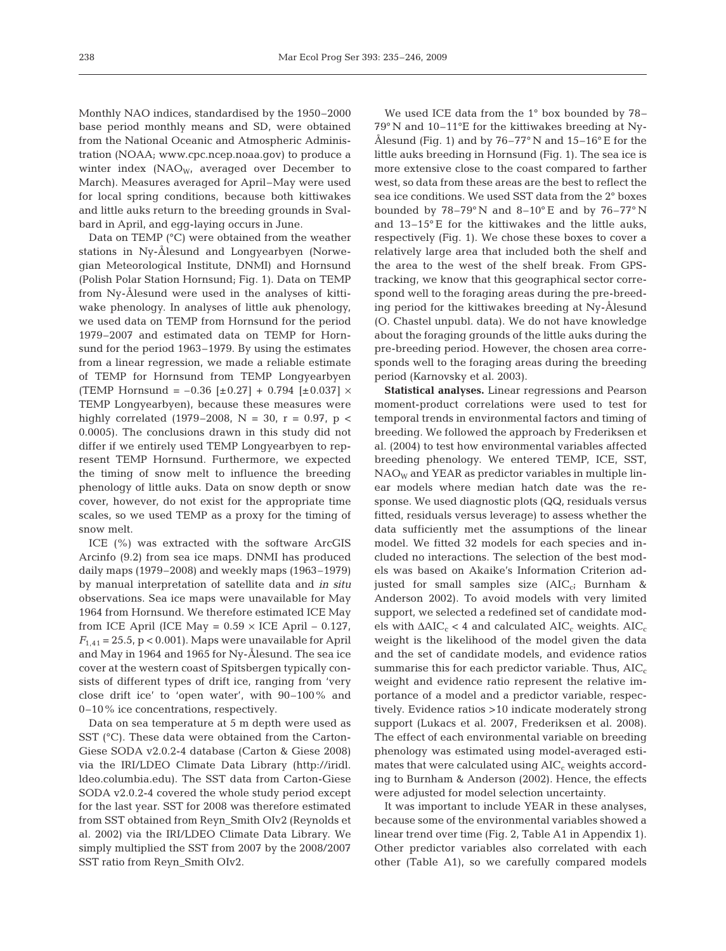Monthly NAO indices, standardised by the 1950–2000 base period monthly means and SD, were obtained from the National Oceanic and Atmospheric Administration (NOAA; www.cpc.ncep.noaa.gov) to produce a winter index  $(NAO<sub>W</sub>,$  averaged over December to March). Measures averaged for April–May were used for local spring conditions, because both kittiwakes and little auks return to the breeding grounds in Svalbard in April, and egg-laying occurs in June.

Data on TEMP (°C) were obtained from the weather stations in Ny-Ålesund and Longyearbyen (Norwegian Meteorological Institute, DNMI) and Hornsund (Polish Polar Station Hornsund; Fig. 1). Data on TEMP from Ny-Ålesund were used in the analyses of kittiwake phenology. In analyses of little auk phenology, we used data on TEMP from Hornsund for the period 1979–2007 and estimated data on TEMP for Hornsund for the period 1963–1979. By using the estimates from a linear regression, we made a reliable estimate of TEMP for Hornsund from TEMP Longyearbyen (TEMP Hornsund =  $-0.36$  [ $\pm 0.27$ ] + 0.794 [ $\pm 0.037$ ]  $\times$ TEMP Longyearbyen), because these measures were highly correlated (1979–2008, N = 30, r = 0.97, p < 0.0005). The conclusions drawn in this study did not differ if we entirely used TEMP Longyearbyen to represent TEMP Hornsund. Furthermore, we expected the timing of snow melt to influence the breeding phenology of little auks. Data on snow depth or snow cover, however, do not exist for the appropriate time scales, so we used TEMP as a proxy for the timing of snow melt.

ICE (%) was extracted with the software ArcGIS Arcinfo (9.2) from sea ice maps. DNMI has produced daily maps (1979–2008) and weekly maps (1963–1979) by manual interpretation of satellite data and *in situ* observations. Sea ice maps were unavailable for May 1964 from Hornsund. We therefore estimated ICE May from ICE April (ICE May =  $0.59 \times$  ICE April –  $0.127$ ,  $F_{1,41}$  = 25.5, p < 0.001). Maps were unavailable for April and May in 1964 and 1965 for Ny-Ålesund. The sea ice cover at the western coast of Spitsbergen typically consists of different types of drift ice, ranging from 'very close drift ice' to 'open water', with 90–100% and 0–10% ice concentrations, respectively.

Data on sea temperature at 5 m depth were used as SST (°C). These data were obtained from the Carton-Giese SODA v2.0.2-4 database (Carton & Giese 2008) via the IRI/LDEO Climate Data Library (http://iridl. ldeo.columbia.edu). The SST data from Carton-Giese SODA v2.0.2-4 covered the whole study period except for the last year. SST for 2008 was therefore estimated from SST obtained from Reyn\_Smith OIv2 (Reynolds et al. 2002) via the IRI/LDEO Climate Data Library. We simply multiplied the SST from 2007 by the 2008/2007 SST ratio from Reyn\_Smith OIv2.

We used ICE data from the 1° box bounded by 78– 79° N and 10–11°E for the kittiwakes breeding at Ny-Ålesund (Fig. 1) and by  $76-77^{\circ}$  N and  $15-16^{\circ}$  E for the little auks breeding in Hornsund (Fig. 1). The sea ice is more extensive close to the coast compared to farther west, so data from these areas are the best to reflect the sea ice conditions. We used SST data from the 2° boxes bounded by  $78-79^\circ$  N and  $8-10^\circ$  E and by  $76-77^\circ$  N and 13–15° E for the kittiwakes and the little auks, respectively (Fig. 1). We chose these boxes to cover a relatively large area that included both the shelf and the area to the west of the shelf break. From GPStracking, we know that this geographical sector correspond well to the foraging areas during the pre-breeding period for the kittiwakes breeding at Ny-Ålesund (O. Chastel unpubl. data). We do not have knowledge about the foraging grounds of the little auks during the pre-breeding period. However, the chosen area corresponds well to the foraging areas during the breeding period (Karnovsky et al. 2003).

**Statistical analyses.** Linear regressions and Pearson moment-product correlations were used to test for temporal trends in environmental factors and timing of breeding. We followed the approach by Frederiksen et al. (2004) to test how environmental variables affected breeding phenology. We entered TEMP, ICE, SST,  $NAO<sub>W</sub>$  and YEAR as predictor variables in multiple linear models where median hatch date was the response. We used diagnostic plots (QQ, residuals versus fitted, residuals versus leverage) to assess whether the data sufficiently met the assumptions of the linear model. We fitted 32 models for each species and included no interactions. The selection of the best models was based on Akaike's Information Criterion adjusted for small samples size (AIC<sub>c</sub>; Burnham & Anderson 2002). To avoid models with very limited support, we selected a redefined set of candidate models with  $\Delta AIC_c < 4$  and calculated  $AIC_c$  weights.  $AIC_c$ weight is the likelihood of the model given the data and the set of candidate models, and evidence ratios summarise this for each predictor variable. Thus,  $AIC_c$ weight and evidence ratio represent the relative importance of a model and a predictor variable, respectively. Evidence ratios >10 indicate moderately strong support (Lukacs et al. 2007, Frederiksen et al. 2008). The effect of each environmental variable on breeding phenology was estimated using model-averaged estimates that were calculated using  $AIC<sub>c</sub>$  weights according to Burnham & Anderson (2002). Hence, the effects were adjusted for model selection uncertainty.

It was important to include YEAR in these analyses, because some of the environmental variables showed a linear trend over time (Fig. 2, Table A1 in Appendix 1). Other predictor variables also correlated with each other (Table A1), so we carefully compared models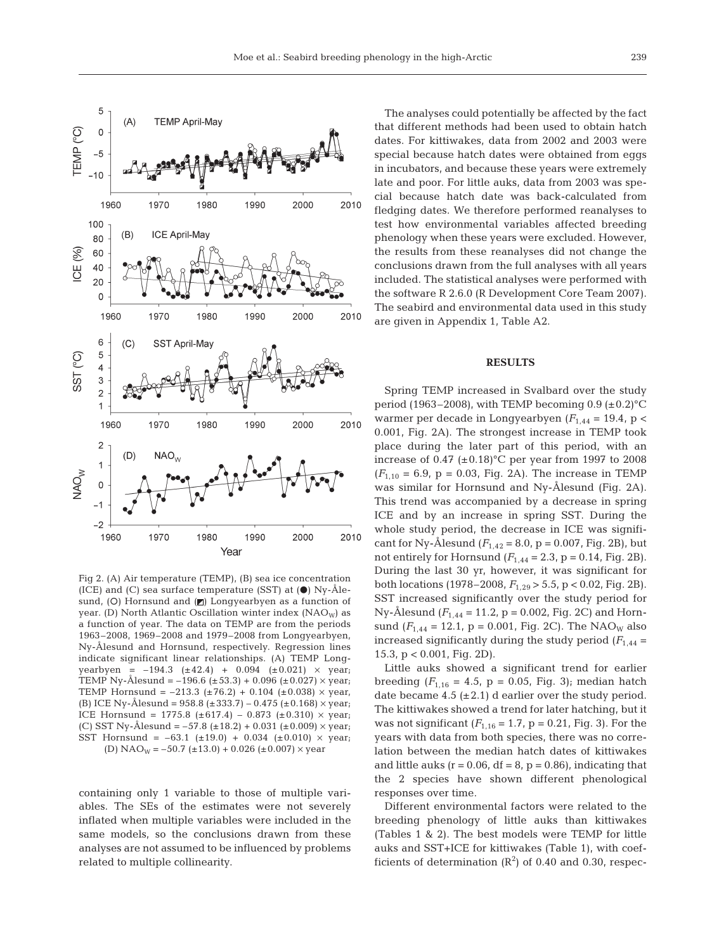

Fig 2. (A) Air temperature (TEMP), (B) sea ice concentration (ICE) and (C) sea surface temperature (SST) at  $(\bullet)$  Ny-Ålesund, (O) Hornsund and  $($ *n* $)$  Longyearbyen as a function of year. (D) North Atlantic Oscillation winter index (NAO<sub>W</sub>) as a function of year. The data on TEMP are from the periods 1963–2008, 1969–2008 and 1979–2008 from Longyearbyen, Ny-Ålesund and Hornsund, respectively. Regression lines indicate significant linear relationships. (A) TEMP Longyearbyen =  $-194.3$  ( $\pm 42.4$ ) + 0.094 ( $\pm 0.021$ ) × year; TEMP Ny-Ålesund =  $-196.6$  (±53.3) + 0.096 (±0.027)  $\times$  year; TEMP Hornsund =  $-213.3$  ( $\pm 76.2$ ) + 0.104 ( $\pm 0.038$ ) × year, (B) ICE Ny-Ålesund =  $958.8$  ( $\pm 333.7$ ) – 0.475 ( $\pm 0.168$ )  $\times$  year; ICE Hornsund = 1775.8 ( $\pm 617.4$ ) – 0.873 ( $\pm 0.310$ )  $\times$  year; (C) SST Ny-Ålesund =  $-57.8$  ( $\pm$ 18.2) + 0.031 ( $\pm$ 0.009)  $\times$  year; SST Hornsund =  $-63.1$  ( $\pm 19.0$ ) + 0.034 ( $\pm 0.010$ ) × year; (D)  $\text{NAO}_W = -50.7 \ (\pm 13.0) + 0.026 \ (\pm 0.007) \times \text{year}$ 

containing only 1 variable to those of multiple variables. The SEs of the estimates were not severely inflated when multiple variables were included in the same models, so the conclusions drawn from these analyses are not assumed to be influenced by problems related to multiple collinearity.

The analyses could potentially be affected by the fact that different methods had been used to obtain hatch dates. For kittiwakes, data from 2002 and 2003 were special because hatch dates were obtained from eggs in incubators, and because these years were extremely late and poor. For little auks, data from 2003 was special because hatch date was back-calculated from fledging dates. We therefore performed reanalyses to test how environmental variables affected breeding phenology when these years were excluded. However, the results from these reanalyses did not change the conclusions drawn from the full analyses with all years included. The statistical analyses were performed with the software R 2.6.0 (R Development Core Team 2007). The seabird and environmental data used in this study are given in Appendix 1, Table A2.

#### **RESULTS**

Spring TEMP increased in Svalbard over the study period (1963–2008), with TEMP becoming  $0.9 \ (\pm 0.2)^{\circ}C$ warmer per decade in Longyearbyen  $(F_{1,44} = 19.4, p <$ 0.001, Fig. 2A). The strongest increase in TEMP took place during the later part of this period, with an increase of  $0.47$  (± $0.18$ )°C per year from 1997 to 2008  $(F_{1,10} = 6.9, p = 0.03, Fig. 2A)$ . The increase in TEMP was similar for Hornsund and Ny-Ålesund (Fig. 2A). This trend was accompanied by a decrease in spring ICE and by an increase in spring SST. During the whole study period, the decrease in ICE was significant for Ny-Ålesund  $(F_{1,42} = 8.0, p = 0.007, Fig. 2B)$ , but not entirely for Hornsund  $(F_{1,44} = 2.3, p = 0.14, Fig. 2B)$ . During the last 30 yr, however, it was significant for both locations (1978–2008, *F*1,29 > 5.5, p < 0.02, Fig. 2B). SST increased significantly over the study period for Ny-Ålesund ( $F_{1,44}$  = 11.2, p = 0.002, Fig. 2C) and Hornsund  $(F_{1,44} = 12.1, p = 0.001, Fig. 2C)$ . The NAO<sub>W</sub> also increased significantly during the study period  $(F_{1,44} =$ 15.3, p < 0.001, Fig. 2D).

Little auks showed a significant trend for earlier breeding  $(F_{1,16} = 4.5, p = 0.05, Fig. 3)$ ; median hatch date became  $4.5$  ( $\pm 2.1$ ) d earlier over the study period. The kittiwakes showed a trend for later hatching, but it was not significant  $(F_{1,16} = 1.7, p = 0.21,$  Fig. 3). For the years with data from both species, there was no correlation between the median hatch dates of kittiwakes and little auks ( $r = 0.06$ , df = 8,  $p = 0.86$ ), indicating that the 2 species have shown different phenological responses over time.

Different environmental factors were related to the breeding phenology of little auks than kittiwakes (Tables 1 & 2). The best models were TEMP for little auks and SST+ICE for kittiwakes (Table 1), with coefficients of determination  $(R^2)$  of 0.40 and 0.30, respec-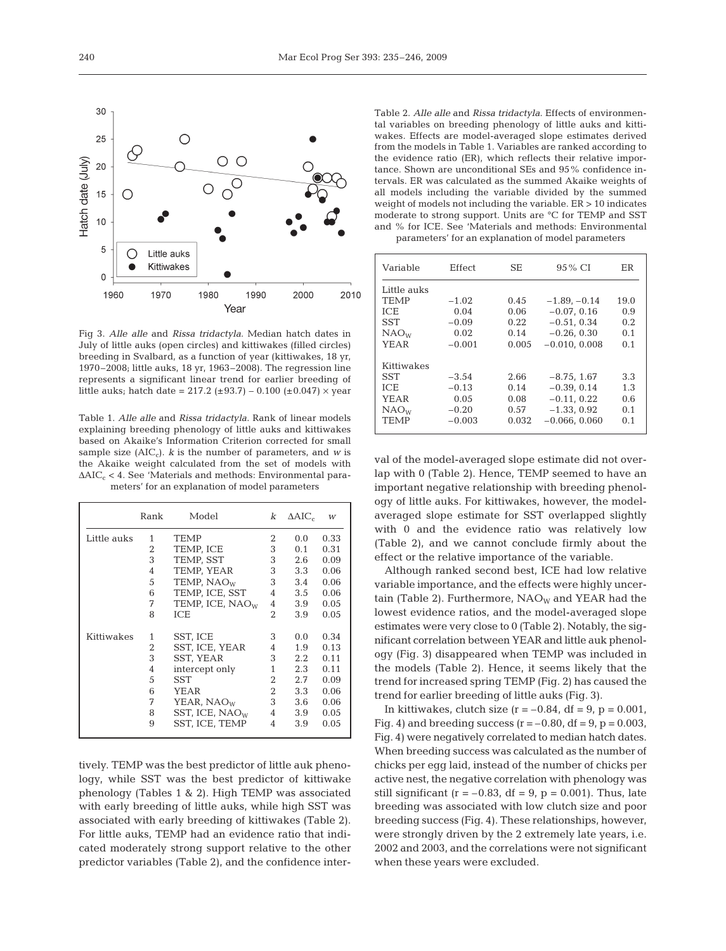

Fig 3. *Alle alle* and *Rissa tridactyla*. Median hatch dates in July of little auks (open circles) and kittiwakes (filled circles) breeding in Svalbard, as a function of year (kittiwakes, 18 yr, 1970–2008; little auks, 18 yr, 1963–2008). The regression line represents a significant linear trend for earlier breeding of little auks; hatch date =  $217.2$  ( $\pm 93.7$ ) – 0.100 ( $\pm 0.047$ )  $\times$  year

Table 1. *Alle alle* and *Rissa tridactyla*. Rank of linear models explaining breeding phenology of little auks and kittiwakes based on Akaike's Information Criterion corrected for small sample size  $(AIC_c)$ . *k* is the number of parameters, and *w* is the Akaike weight calculated from the set of models with  $\Delta AIC_c < 4$ . See 'Materials and methods: Environmental parameters' for an explanation of model parameters

|             | Rank | Model                       | k              | $\Delta AIC_c$   | W    |
|-------------|------|-----------------------------|----------------|------------------|------|
| Little auks | 1    | <b>TEMP</b>                 | 2              | 0.0              | 0.33 |
|             | 2    | TEMP, ICE                   | 3              | 0.1              | 0.31 |
|             | 3    | TEMP, SST                   | 3              | 2.6              | 0.09 |
|             | 4    | TEMP, YEAR                  | 3              | 3.3              | 0.06 |
|             | 5    | TEMP, NAO <sub>W</sub>      | 3              | 3.4              | 0.06 |
|             | 6    | TEMP, ICE, SST              | 4              | $3.5^{\circ}$    | 0.06 |
|             | 7    | TEMP, ICE, NAO <sub>W</sub> | 4              | 3.9              | 0.05 |
|             | 8    | <b>ICE</b>                  | $\overline{2}$ | 3.9              | 0.05 |
| Kittiwakes  | 1    | SST, ICE                    | 3              | 0.0              | 0.34 |
|             | 2    | SST, ICE, YEAR              | 4              | 1.9              | 0.13 |
|             | 3    | SST, YEAR                   | 3              | $2.2\phantom{0}$ | 0.11 |
|             | 4    | intercept only              | 1              | 2.3              | 0.11 |
|             | 5    | <b>SST</b>                  | 2              | 2.7              | 0.09 |
|             | 6    | YEAR                        | $\overline{2}$ | 3.3              | 0.06 |
|             | 7    | YEAR, NAO <sub>W</sub>      | 3              | 3.6              | 0.06 |
|             | 8    | SST, ICE, $NAO_W$           | 4              | 3.9              | 0.05 |
|             | 9    | SST, ICE, TEMP              | 4              | 3.9              | 0.05 |

tively. TEMP was the best predictor of little auk phenology, while SST was the best predictor of kittiwake phenology (Tables 1 & 2). High TEMP was associated with early breeding of little auks, while high SST was associated with early breeding of kittiwakes (Table 2). For little auks, TEMP had an evidence ratio that indicated moderately strong support relative to the other predictor variables (Table 2), and the confidence inter-

Table 2. *Alle alle* and *Rissa tridactyla*. Effects of environmental variables on breeding phenology of little auks and kittiwakes. Effects are model-averaged slope estimates derived from the models in Table 1. Variables are ranked according to the evidence ratio (ER), which reflects their relative importance. Shown are unconditional SEs and 95% confidence intervals. ER was calculated as the summed Akaike weights of all models including the variable divided by the summed weight of models not including the variable. ER > 10 indicates moderate to strong support. Units are °C for TEMP and SST and % for ICE. See 'Materials and methods: Environmental parameters' for an explanation of model parameters

| Variable         | Effect   | SЕ    | 95 % CI         | ER   |
|------------------|----------|-------|-----------------|------|
| Little auks      |          |       |                 |      |
| <b>TEMP</b>      | $-1.02$  | 0.45  | $-1.89 - 0.14$  | 19.0 |
| <b>ICE</b>       | 0.04     | 0.06  | $-0.07, 0.16$   | 0.9  |
| <b>SST</b>       | $-0.09$  | 0.22  | $-0.51, 0.34$   | 0.2  |
| NAO <sub>W</sub> | 0.02     | 0.14  | $-0.26, 0.30$   | 0.1  |
| YEAR             | $-0.001$ | 0.005 | $-0.010, 0.008$ | 0.1  |
| Kittiwakes       |          |       |                 |      |
|                  |          |       |                 |      |
| <b>SST</b>       | $-3.54$  | 2.66  | $-8.75, 1.67$   | 3.3  |
| ICE.             | $-0.13$  | 0.14  | $-0.39, 0.14$   | 1.3  |
| YEAR             | 0.05     | 0.08  | $-0.11, 0.22$   | 0.6  |
| NAO <sub>W</sub> | $-0.20$  | 0.57  | $-1.33, 0.92$   | 0.1  |
| <b>TEMP</b>      | $-0.003$ | 0.032 | $-0.066, 0.060$ | 0.1  |
|                  |          |       |                 |      |

val of the model-averaged slope estimate did not overlap with 0 (Table 2). Hence, TEMP seemed to have an important negative relationship with breeding phenology of little auks. For kittiwakes, however, the modelaveraged slope estimate for SST overlapped slightly with 0 and the evidence ratio was relatively low (Table 2), and we cannot conclude firmly about the effect or the relative importance of the variable.

Although ranked second best, ICE had low relative variable importance, and the effects were highly uncertain (Table 2). Furthermore,  $NAO_W$  and YEAR had the lowest evidence ratios, and the model-averaged slope estimates were very close to 0 (Table 2). Notably, the significant correlation between YEAR and little auk phenology (Fig. 3) disappeared when TEMP was included in the models (Table 2). Hence, it seems likely that the trend for increased spring TEMP (Fig. 2) has caused the trend for earlier breeding of little auks (Fig. 3).

In kittiwakes, clutch size  $(r = -0.84, df = 9, p = 0.001,$ Fig. 4) and breeding success  $(r = -0.80, df = 9, p = 0.003,$ Fig. 4) were negatively correlated to median hatch dates. When breeding success was calculated as the number of chicks per egg laid, instead of the number of chicks per active nest, the negative correlation with phenology was still significant ( $r = -0.83$ , df = 9,  $p = 0.001$ ). Thus, late breeding was associated with low clutch size and poor breeding success (Fig. 4). These relationships, however, were strongly driven by the 2 extremely late years, i.e. 2002 and 2003, and the correlations were not significant when these years were excluded.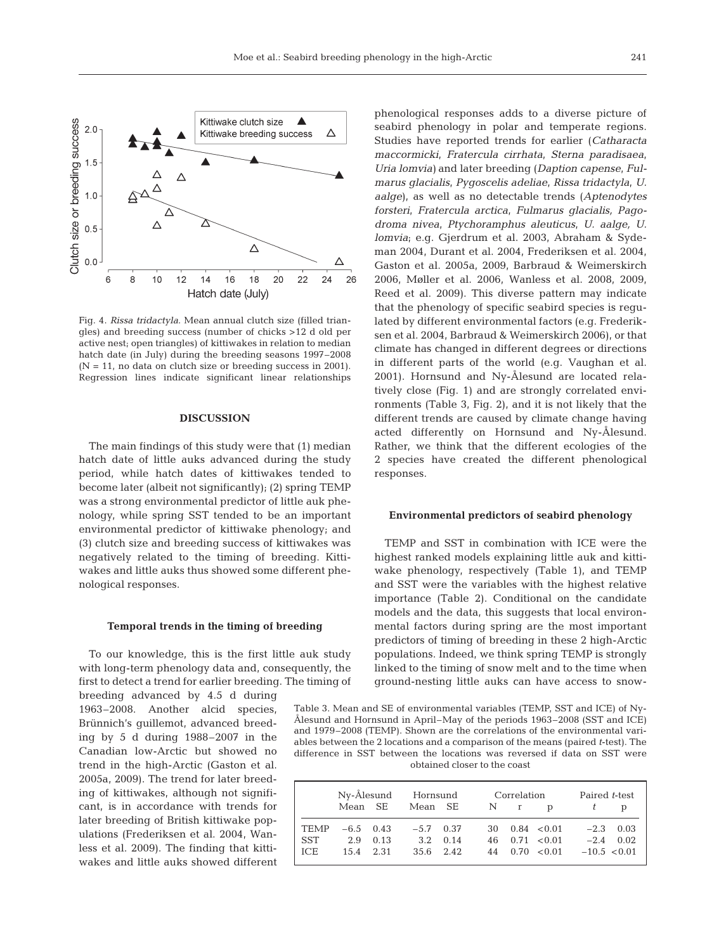

Fig. 4. *Rissa tridactyla*. Mean annual clutch size (filled triangles) and breeding success (number of chicks >12 d old per active nest; open triangles) of kittiwakes in relation to median hatch date (in July) during the breeding seasons 1997–2008  $(N = 11$ , no data on clutch size or breeding success in 2001). Regression lines indicate significant linear relationships

## **DISCUSSION**

The main findings of this study were that (1) median hatch date of little auks advanced during the study period, while hatch dates of kittiwakes tended to become later (albeit not significantly); (2) spring TEMP was a strong environmental predictor of little auk phenology, while spring SST tended to be an important environmental predictor of kittiwake phenology; and (3) clutch size and breeding success of kittiwakes was negatively related to the timing of breeding. Kittiwakes and little auks thus showed some different phenological responses.

#### **Temporal trends in the timing of breeding**

To our knowledge, this is the first little auk study with long-term phenology data and, consequently, the first to detect a trend for earlier breeding. The timing of

breeding advanced by 4.5 d during 1963–2008. Another alcid species, Brünnich's guillemot, advanced breeding by 5 d during 1988–2007 in the Canadian low-Arctic but showed no trend in the high-Arctic (Gaston et al. 2005a, 2009). The trend for later breeding of kittiwakes, although not significant, is in accordance with trends for later breeding of British kittiwake populations (Frederiksen et al. 2004, Wanless et al. 2009). The finding that kittiwakes and little auks showed different

phenological responses adds to a diverse picture of seabird phenology in polar and temperate regions. Studies have reported trends for earlier (*Catharacta maccormicki*, *Fratercula cirrhata*, *Sterna paradisaea*, *Uria lomvia)* and later breeding (*Daption capense*, *Fulmarus glacialis*, *Pygoscelis adeliae*, *Rissa tridactyla*, *U. aalge*), as well as no detectable trends (*Aptenodytes forsteri*, *Fratercula arctica*, *Fulmarus glacialis, Pagodroma nivea*, *Ptychoramphus aleuticus*, *U. aalge, U. lomvia*; e.g. Gjerdrum et al. 2003, Abraham & Sydeman 2004, Durant et al. 2004, Frederiksen et al. 2004, Gaston et al. 2005a, 2009, Barbraud & Weimerskirch 2006, Møller et al. 2006, Wanless et al. 2008, 2009, Reed et al. 2009). This diverse pattern may indicate that the phenology of specific seabird species is regulated by different environmental factors (e.g. Frederiksen et al. 2004, Barbraud & Weimerskirch 2006), or that climate has changed in different degrees or directions in different parts of the world (e.g. Vaughan et al. 2001). Hornsund and Ny-Ålesund are located relatively close (Fig. 1) and are strongly correlated environments (Table 3, Fig. 2), and it is not likely that the different trends are caused by climate change having acted differently on Hornsund and Ny-Ålesund. Rather, we think that the different ecologies of the 2 species have created the different phenological responses.

#### **Environmental predictors of seabird phenology**

TEMP and SST in combination with ICE were the highest ranked models explaining little auk and kittiwake phenology, respectively (Table 1), and TEMP and SST were the variables with the highest relative importance (Table 2). Conditional on the candidate models and the data, this suggests that local environmental factors during spring are the most important predictors of timing of breeding in these 2 high-Arctic populations. Indeed, we think spring TEMP is strongly linked to the timing of snow melt and to the time when ground-nesting little auks can have access to snow-

Table 3. Mean and SE of environmental variables (TEMP, SST and ICE) of Ny-Ålesund and Hornsund in April–May of the periods 1963–2008 (SST and ICE) and 1979–2008 (TEMP). Shown are the correlations of the environmental variables between the 2 locations and a comparison of the means (paired *t*-test). The difference in SST between the locations was reversed if data on SST were obtained closer to the coast

|         |             |                  | Ny-Ålesund Hornsund |  |  | Correlation |                              | Paired t-test  |             |  |
|---------|-------------|------------------|---------------------|--|--|-------------|------------------------------|----------------|-------------|--|
|         | Mean SE     |                  | Mean SE             |  |  | N r         | <sub>n</sub>                 |                |             |  |
| TEMP    | $-6.5$ 0.43 |                  | $-5.7$ 0.37         |  |  |             | $30 \quad 0.84 \quad < 0.01$ |                | $-2.3$ 0.03 |  |
| l SST   |             | $2.9 \quad 0.13$ | $3.2 \quad 0.14$    |  |  |             | $46 \quad 0.71 \quad < 0.01$ |                | $-2.4$ 0.02 |  |
| l ice - | 15.4 2.31   |                  | $35.6$ 2.42         |  |  |             | $44 \quad 0.70 \quad 0.01$   | $-10.5 < 0.01$ |             |  |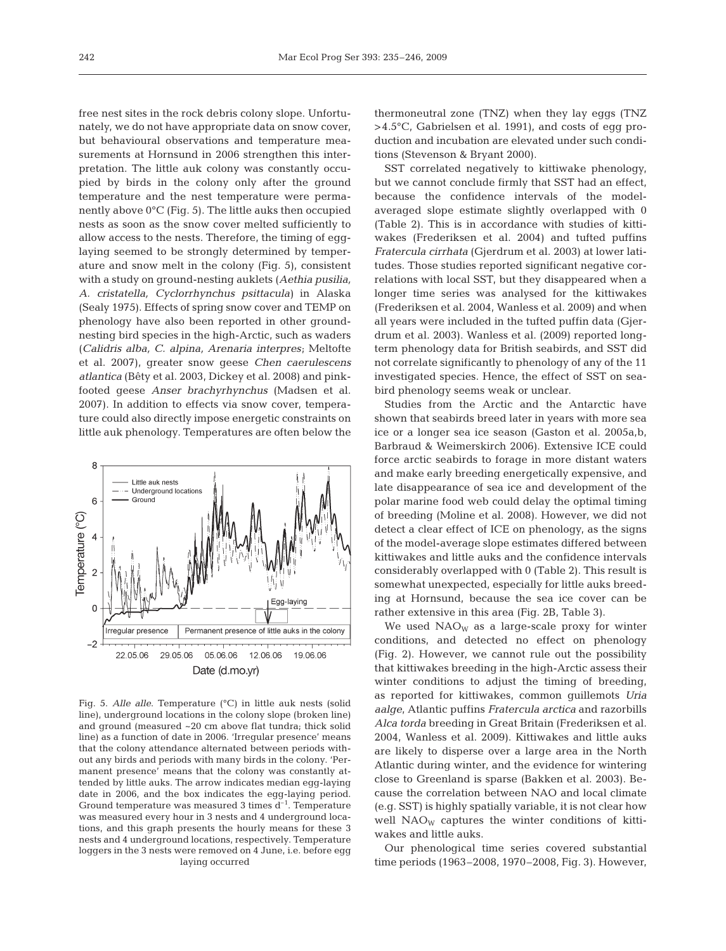free nest sites in the rock debris colony slope. Unfortunately, we do not have appropriate data on snow cover, but behavioural observations and temperature measurements at Hornsund in 2006 strengthen this interpretation. The little auk colony was constantly occupied by birds in the colony only after the ground temperature and the nest temperature were permanently above 0°C (Fig. 5). The little auks then occupied nests as soon as the snow cover melted sufficiently to allow access to the nests. Therefore, the timing of egglaying seemed to be strongly determined by temperature and snow melt in the colony (Fig. 5), consistent with a study on ground-nesting auklets (*Aethia pusilia, A. cristatella, Cyclorrhynchus psittacula)* in Alaska (Sealy 1975). Effects of spring snow cover and TEMP on phenology have also been reported in other groundnesting bird species in the high-Arctic, such as waders (*Calidris alba, C. alpina, Arenaria interpres*; Meltofte et al. 2007), greater snow geese *Chen caerulescens atlantica* (Bêty et al. 2003, Dickey et al. 2008) and pinkfooted geese *Anser brachyrhynchus* (Madsen et al. 2007). In addition to effects via snow cover, temperature could also directly impose energetic constraints on little auk phenology. Temperatures are often below the



Fig. 5. *Alle alle*. Temperature (°C) in little auk nests (solid line), underground locations in the colony slope (broken line) and ground (measured ~20 cm above flat tundra; thick solid line) as a function of date in 2006. 'Irregular presence' means that the colony attendance alternated between periods without any birds and periods with many birds in the colony. 'Permanent presence' means that the colony was constantly attended by little auks. The arrow indicates median egg-laying date in 2006, and the box indicates the egg-laying period. Ground temperature was measured 3 times  $d^{-1}$ . Temperature was measured every hour in 3 nests and 4 underground locations, and this graph presents the hourly means for these 3 nests and 4 underground locations, respectively. Temperature loggers in the 3 nests were removed on 4 June, i.e. before egg laying occurred

thermoneutral zone (TNZ) when they lay eggs (TNZ >4.5°C, Gabrielsen et al. 1991), and costs of egg production and incubation are elevated under such conditions (Stevenson & Bryant 2000).

SST correlated negatively to kittiwake phenology, but we cannot conclude firmly that SST had an effect, because the confidence intervals of the modelaveraged slope estimate slightly overlapped with 0 (Table 2). This is in accordance with studies of kittiwakes (Frederiksen et al. 2004) and tufted puffins *Fratercula cirrhata* (Gjerdrum et al. 2003) at lower latitudes. Those studies reported significant negative correlations with local SST, but they disappeared when a longer time series was analysed for the kittiwakes (Frederiksen et al. 2004, Wanless et al. 2009) and when all years were included in the tufted puffin data (Gjerdrum et al. 2003). Wanless et al. (2009) reported longterm phenology data for British seabirds, and SST did not correlate significantly to phenology of any of the 11 investigated species. Hence, the effect of SST on seabird phenology seems weak or unclear.

Studies from the Arctic and the Antarctic have shown that seabirds breed later in years with more sea ice or a longer sea ice season (Gaston et al. 2005a,b, Barbraud & Weimerskirch 2006). Extensive ICE could force arctic seabirds to forage in more distant waters and make early breeding energetically expensive, and late disappearance of sea ice and development of the polar marine food web could delay the optimal timing of breeding (Moline et al. 2008). However, we did not detect a clear effect of ICE on phenology, as the signs of the model-average slope estimates differed between kittiwakes and little auks and the confidence intervals considerably overlapped with 0 (Table 2). This result is somewhat unexpected, especially for little auks breeding at Hornsund, because the sea ice cover can be rather extensive in this area (Fig. 2B, Table 3).

We used  $NAO<sub>W</sub>$  as a large-scale proxy for winter conditions, and detected no effect on phenology (Fig. 2). However, we cannot rule out the possibility that kittiwakes breeding in the high-Arctic assess their winter conditions to adjust the timing of breeding, as reported for kittiwakes, common guillemots *Uria aalge*, Atlantic puffins *Fratercula arctica* and razorbills *Alca torda* breeding in Great Britain (Frederiksen et al. 2004, Wanless et al. 2009). Kittiwakes and little auks are likely to disperse over a large area in the North Atlantic during winter, and the evidence for wintering close to Greenland is sparse (Bakken et al. 2003). Because the correlation between NAO and local climate (e.g. SST) is highly spatially variable, it is not clear how well  $NAO<sub>W</sub>$  captures the winter conditions of kittiwakes and little auks.

Our phenological time series covered substantial time periods (1963–2008, 1970–2008, Fig. 3). However,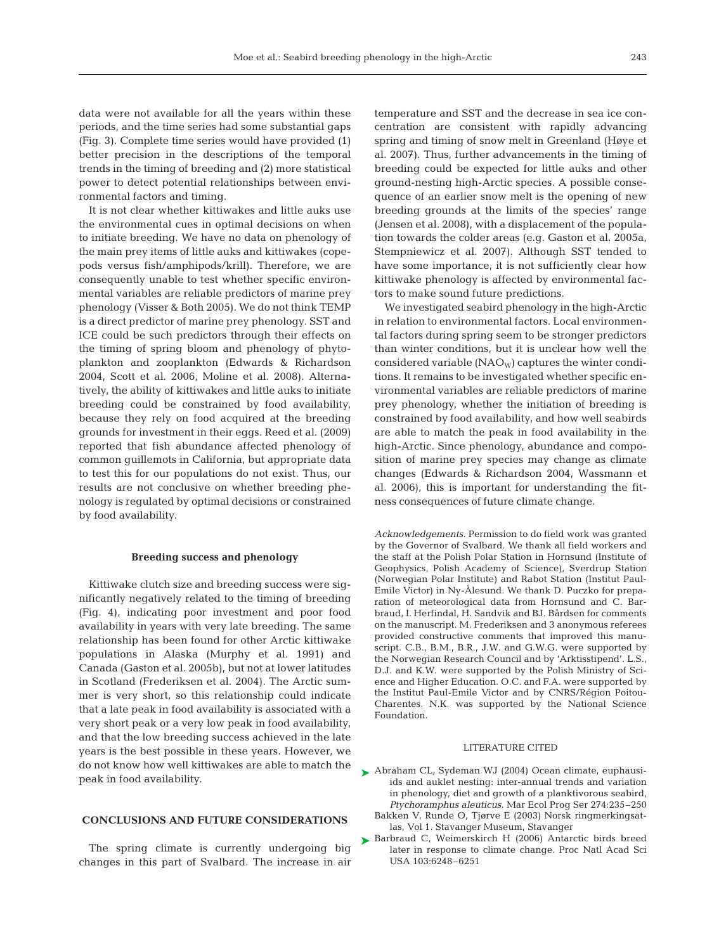data were not available for all the years within these periods, and the time series had some substantial gaps (Fig. 3). Complete time series would have provided (1) better precision in the descriptions of the temporal trends in the timing of breeding and (2) more statistical power to detect potential relationships between environmental factors and timing.

It is not clear whether kittiwakes and little auks use the environmental cues in optimal decisions on when to initiate breeding. We have no data on phenology of the main prey items of little auks and kittiwakes (copepods versus fish/amphipods/krill). Therefore, we are consequently unable to test whether specific environmental variables are reliable predictors of marine prey phenology (Visser & Both 2005). We do not think TEMP is a direct predictor of marine prey phenology. SST and ICE could be such predictors through their effects on the timing of spring bloom and phenology of phytoplankton and zooplankton (Edwards & Richardson 2004, Scott et al. 2006, Moline et al. 2008). Alternatively, the ability of kittiwakes and little auks to initiate breeding could be constrained by food availability, because they rely on food acquired at the breeding grounds for investment in their eggs. Reed et al. (2009) reported that fish abundance affected phenology of common guillemots in California, but appropriate data to test this for our populations do not exist. Thus, our results are not conclusive on whether breeding phenology is regulated by optimal decisions or constrained by food availability.

#### **Breeding success and phenology**

Kittiwake clutch size and breeding success were significantly negatively related to the timing of breeding (Fig. 4), indicating poor investment and poor food availability in years with very late breeding. The same relationship has been found for other Arctic kittiwake populations in Alaska (Murphy et al. 1991) and Canada (Gaston et al. 2005b), but not at lower latitudes in Scotland (Frederiksen et al. 2004). The Arctic summer is very short, so this relationship could indicate that a late peak in food availability is associated with a very short peak or a very low peak in food availability, and that the low breeding success achieved in the late years is the best possible in these years. However, we do not know how well kittiwakes are able to match the peak in food availability.

## **CONCLUSIONS AND FUTURE CONSIDERATIONS**

The spring climate is currently undergoing big changes in this part of Svalbard. The increase in air temperature and SST and the decrease in sea ice concentration are consistent with rapidly advancing spring and timing of snow melt in Greenland (Høye et al. 2007). Thus, further advancements in the timing of breeding could be expected for little auks and other ground-nesting high-Arctic species. A possible consequence of an earlier snow melt is the opening of new breeding grounds at the limits of the species' range (Jensen et al. 2008), with a displacement of the population towards the colder areas (e.g. Gaston et al. 2005a, Stempniewicz et al. 2007). Although SST tended to have some importance, it is not sufficiently clear how kittiwake phenology is affected by environmental factors to make sound future predictions.

We investigated seabird phenology in the high-Arctic in relation to environmental factors. Local environmental factors during spring seem to be stronger predictors than winter conditions, but it is unclear how well the considered variable  $(NAO<sub>W</sub>)$  captures the winter conditions. It remains to be investigated whether specific environmental variables are reliable predictors of marine prey phenology, whether the initiation of breeding is constrained by food availability, and how well seabirds are able to match the peak in food availability in the high-Arctic. Since phenology, abundance and composition of marine prey species may change as climate changes (Edwards & Richardson 2004, Wassmann et al. 2006), this is important for understanding the fitness consequences of future climate change.

*Acknowledgements.* Permission to do field work was granted by the Governor of Svalbard. We thank all field workers and the staff at the Polish Polar Station in Hornsund (Institute of Geophysics, Polish Academy of Science), Sverdrup Station (Norwegian Polar Institute) and Rabot Station (Institut Paul-Emile Victor) in Ny-Ålesund. We thank D. Puczko for preparation of meteorological data from Hornsund and C. Barbraud, I. Herfindal, H. Sandvik and BJ. Bårdsen for comments on the manuscript. M. Frederiksen and 3 anonymous referees provided constructive comments that improved this manuscript. C.B., B.M., B.R., J.W. and G.W.G. were supported by the Norwegian Research Council and by 'Arktisstipend'. L.S., D.J. and K.W. were supported by the Polish Ministry of Science and Higher Education. O.C. and F.A. were supported by the Institut Paul-Emile Victor and by CNRS/Région Poitou-Charentes. N.K. was supported by the National Science Foundation.

### LITERATURE CITED

- ▶ Abraham CL, Sydeman WJ (2004) Ocean climate, euphausiids and auklet nesting: inter-annual trends and variation in phenology, diet and growth of a planktivorous seabird, *Ptychoramphus aleuticus*. Mar Ecol Prog Ser 274:235–250
	- Bakken V, Runde O, Tjørve E (2003) Norsk ringmerkingsatlas, Vol 1. Stavanger Museum, Stavanger
- ▶ Barbraud C, Weimerskirch H (2006) Antarctic birds breed later in response to climate change. Proc Natl Acad Sci USA 103:6248–6251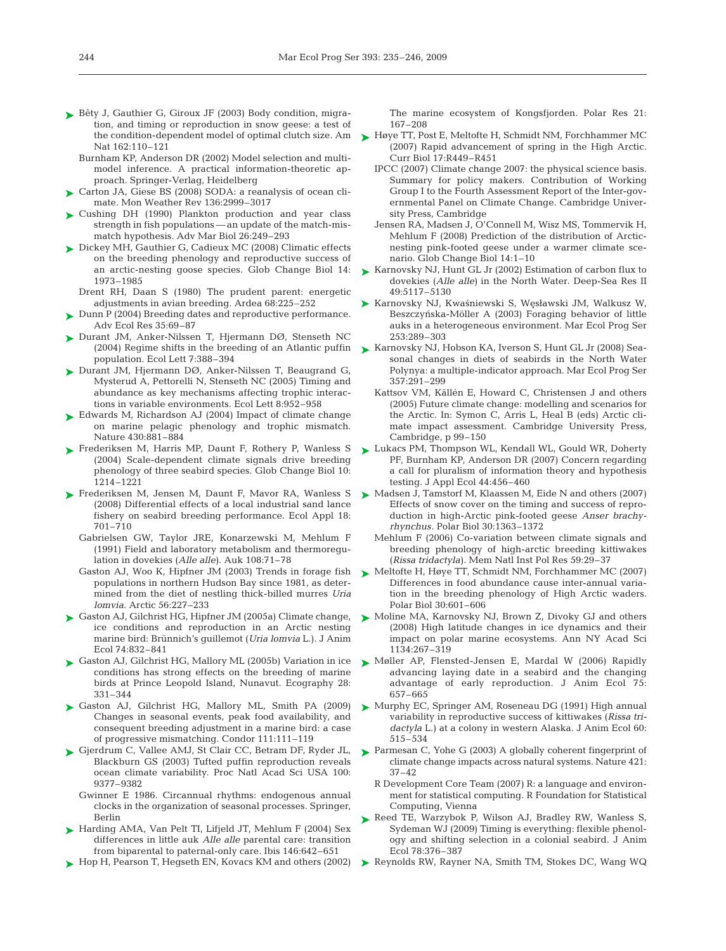- ► Bêty J, Gauthier G, Giroux JF (2003) Body condition, migration, and timing or reproduction in snow geese: a test of Nat 162:110–121
	- Burnham KP, Anderson DR (2002) Model selection and multimodel inference. A practical information-theoretic approach. Springer-Verlag, Heidelberg
- ► Carton JA, Giese BS (2008) SODA: a reanalysis of ocean climate. Mon Weather Rev 136:2999–3017
- ► Cushing DH (1990) Plankton production and year class strength in fish populations — an update of the match-mismatch hypothesis. Adv Mar Biol 26:249–293
- ► Dickey MH, Gauthier G, Cadieux MC (2008) Climatic effects on the breeding phenology and reproductive success of an arctic-nesting goose species. Glob Change Biol 14: 1973–1985
	- Drent RH, Daan S (1980) The prudent parent: energetic adjustments in avian breeding. Ardea 68:225–252
- ► Dunn P (2004) Breeding dates and reproductive performance. Adv Ecol Res 35:69–87
- ► Durant JM, Anker-Nilssen T, Hjermann DØ, Stenseth NC (2004) Regime shifts in the breeding of an Atlantic puffin population. Ecol Lett 7:388–394
- ▶ Durant JM, Hjermann DØ, Anker-Nilssen T, Beaugrand G, Mysterud A, Pettorelli N, Stenseth NC (2005) Timing and abundance as key mechanisms affecting trophic interactions in variable environments. Ecol Lett 8:952–958
- ► Edwards M, Richardson AJ (2004) Impact of climate change on marine pelagic phenology and trophic mismatch. Nature 430:881–884
- ▶ Frederiksen M, Harris MP, Daunt F, Rothery P, Wanless S (2004) Scale-dependent climate signals drive breeding phenology of three seabird species. Glob Change Biol 10: 1214–1221
- ► Frederiksen M, Jensen M, Daunt F, Mavor RA, Wanless S (2008) Differential effects of a local industrial sand lance fishery on seabird breeding performance. Ecol Appl 18: 701–710
	- Gabrielsen GW, Taylor JRE, Konarzewski M, Mehlum F (1991) Field and laboratory metabolism and thermoregulation in dovekies (*Alle alle)*. Auk 108:71–78
	- populations in northern Hudson Bay since 1981, as determined from the diet of nestling thick-billed murres *Uria lomvia*. Arctic 56:227–233
- ► Gaston AJ, Gilchrist HG, Hipfner JM (2005a) Climate change, ice conditions and reproduction in an Arctic nesting marine bird: Brünnich's guillemot (*Uria lomvia* L.). J Anim Ecol 74:832–841
- ► Gaston AJ, Gilchrist HG, Mallory ML (2005b) Variation in ice conditions has strong effects on the breeding of marine birds at Prince Leopold Island, Nunavut. Ecography 28: 331–344
- ▶ Gaston AJ, Gilchrist HG, Mallory ML, Smith PA (2009) Changes in seasonal events, peak food availability, and consequent breeding adjustment in a marine bird: a case of progressive mismatching. Condor 111:111–119
- ► Gjerdrum C, Vallee AMJ, St Clair CC, Betram DF, Ryder JL, Blackburn GS (2003) Tufted puffin reproduction reveals ocean climate variability. Proc Natl Acad Sci USA 100: 9377–9382
	- Gwinner E 1986. Circannual rhythms: endogenous annual clocks in the organization of seasonal processes. Springer, Berlin
- ► Harding AMA, Van Pelt TI, Lifjeld JT, Mehlum F (2004) Sex differences in little auk *Alle alle* parental care: transition from biparental to paternal-only care. Ibis 146:642–651
- ► Hop H, Pearson T, Hegseth EN, Kovacs KM and others (2002)

The marine ecosystem of Kongsfjorden. Polar Res 21: 167–208

- the condition-dependent model of optimal clutch size. Am  $\longrightarrow$  Høye TT, Post E, Meltofte H, Schmidt NM, Forchhammer MC (2007) Rapid advancement of spring in the High Arctic. Curr Biol 17:R449–R451
	- IPCC (2007) Climate change 2007: the physical science basis. Summary for policy makers. Contribution of Working Group I to the Fourth Assessment Report of the Inter-governmental Panel on Climate Change. Cambridge University Press, Cambridge
	- Jensen RA, Madsen J, O'Connell M, Wisz MS, Tommervik H, Mehlum F (2008) Prediction of the distribution of Arcticnesting pink-footed geese under a warmer climate scenario. Glob Change Biol 14:1–10
	- ► Karnovsky NJ, Hunt GL Jr (2002) Estimation of carbon flux to dovekies (*Alle alle)* in the North Water. Deep-Sea Res II 49:5117–5130
	- ▶ Karnovsky NJ, Kwaśniewski S, Węsławski JM, Walkusz W, Beszczyńska-Möller A (2003) Foraging behavior of little auks in a heterogeneous environment. Mar Ecol Prog Ser 253:289–303
	- ► Karnovsky NJ, Hobson KA, Iverson S, Hunt GL Jr (2008) Seasonal changes in diets of seabirds in the North Water Polynya: a multiple-indicator approach. Mar Ecol Prog Ser 357:291–299
		- Kattsov VM, Källén E, Howard C, Christensen J and others (2005) Future climate change: modelling and scenarios for the Arctic. In: Symon C, Arris L, Heal B (eds) Arctic climate impact assessment. Cambridge University Press, Cambridge, p 99–150
	- ► Lukacs PM, Thompson WL, Kendall WL, Gould WR, Doherty PF, Burnham KP, Anderson DR (2007) Concern regarding a call for pluralism of information theory and hypothesis testing. J Appl Ecol 44:456–460
	- ► Madsen J, Tamstorf M, Klaassen M, Eide N and others (2007) Effects of snow cover on the timing and success of reproduction in high-Arctic pink-footed geese *Anser brachyrhynchus*. Polar Biol 30:1363–1372
		- Mehlum F (2006) Co-variation between climate signals and breeding phenology of high-arctic breeding kittiwakes (*Rissa tridactyla)*. Mem Natl Inst Pol Res 59:29–37
- Gaston AJ, Woo K, Hipfner JM (2003) Trends in forage fish  $\triangleright$  Meltofte H, Høye TT, Schmidt NM, Forchhammer MC (2007) Differences in food abundance cause inter-annual variation in the breeding phenology of High Arctic waders. Polar Biol 30:601–606
	- ► Moline MA, Karnovsky NJ, Brown Z, Divoky GJ and others (2008) High latitude changes in ice dynamics and their impact on polar marine ecosystems. Ann NY Acad Sci 1134:267–319
	- Møller AP, Flensted-Jensen E, Mardal W (2006) Rapidly ➤ advancing laying date in a seabird and the changing advantage of early reproduction. J Anim Ecol 75: 657–665
	- ► Murphy EC, Springer AM, Roseneau DG (1991) High annual variability in reproductive success of kittiwakes (*Rissa tridactyla* L.) at a colony in western Alaska. J Anim Ecol 60: 515–534
	- ▶ Parmesan C, Yohe G (2003) A globally coherent fingerprint of climate change impacts across natural systems. Nature 421: 37–42
		- R Development Core Team (2007) R: a language and environment for statistical computing. R Foundation for Statistical Computing, Vienna
	- ▶ Reed TE, Warzybok P, Wilson AJ, Bradley RW, Wanless S, Sydeman WJ (2009) Timing is everything: flexible phenology and shifting selection in a colonial seabird. J Anim Ecol 78:376–387
	- ▶ Reynolds RW, Rayner NA, Smith TM, Stokes DC, Wang WQ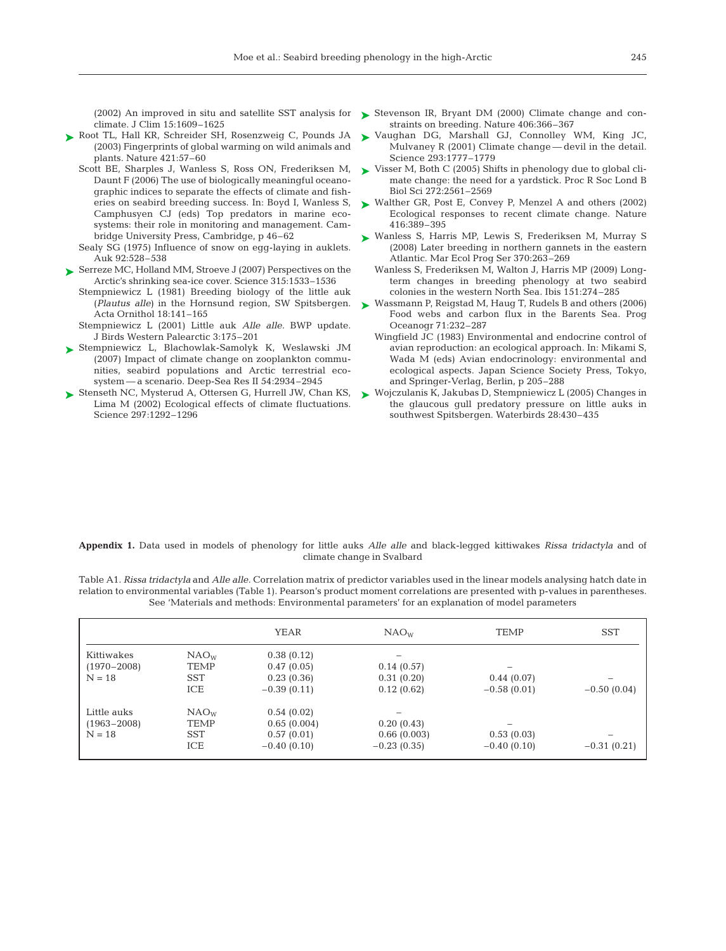climate. J Clim 15:1609–1625

- ► Root TL, Hall KR, Schreider SH, Rosenzweig C, Pounds JA (2003) Fingerprints of global warming on wild animals and plants. Nature 421:57–60
	- Scott BE, Sharples J, Wanless S, Ross ON, Frederiksen M, Daunt F (2006) The use of biologically meaningful oceanographic indices to separate the effects of climate and fisheries on seabird breeding success. In: Boyd I, Wanless S, Camphusyen CJ (eds) Top predators in marine ecosystems: their role in monitoring and management. Cambridge University Press, Cambridge, p 46–62
	- Sealy SG (1975) Influence of snow on egg-laying in auklets. Auk 92:528–538
- ► Serreze MC, Holland MM, Stroeve J (2007) Perspectives on the Arctic's shrinking sea-ice cover. Science 315:1533–1536
	- Stempniewicz L (1981) Breeding biology of the little auk (*Plautus alle)* in the Hornsund region, SW Spitsbergen. Acta Ornithol 18:141–165
	- Stempniewicz L (2001) Little auk *Alle alle.* BWP update. J Birds Western Palearctic 3:175–201
- ► Stempniewicz L, Blachowlak-Samolyk K, Weslawski JM (2007) Impact of climate change on zooplankton communities, seabird populations and Arctic terrestrial ecosystem — a scenario. Deep-Sea Res II 54:2934–2945
- ► Stenseth NC, Mysterud A, Ottersen G, Hurrell JW, Chan KS, Lima M (2002) Ecological effects of climate fluctuations. Science 297:1292–1296
- (2002) An improved in situ and satellite SST analysis for Stevenson IR, Bryant DM (2000) Climate change and con-➤ straints on breeding. Nature 406:366–367
	- ► Vaughan DG, Marshall GJ, Connolley WM, King JC, Mulvaney R (2001) Climate change — devil in the detail. Science 293:1777–1779
	- ► Visser M, Both C (2005) Shifts in phenology due to global climate change: the need for a yardstick. Proc R Soc Lond B Biol Sci 272:2561–2569
	- ► Walther GR, Post E, Convey P, Menzel A and others (2002) Ecological responses to recent climate change. Nature 416:389–395
	- ► Wanless S, Harris MP, Lewis S, Frederiksen M, Murray S (2008) Later breeding in northern gannets in the eastern Atlantic. Mar Ecol Prog Ser 370:263–269
		- Wanless S, Frederiksen M, Walton J, Harris MP (2009) Longterm changes in breeding phenology at two seabird colonies in the western North Sea. Ibis 151:274–285
	- ► Wassmann P, Reigstad M, Haug T, Rudels B and others (2006) Food webs and carbon flux in the Barents Sea. Prog Oceanogr 71:232–287
		- Wingfield JC (1983) Environmental and endocrine control of avian reproduction: an ecological approach. In: Mikami S, Wada M (eds) Avian endocrinology: environmental and ecological aspects. Japan Science Society Press, Tokyo, and Springer-Verlag, Berlin, p 205–288
	- Wojczulanis K, Jakubas D, Stempniewicz L (2005) Changes in ➤the glaucous gull predatory pressure on little auks in southwest Spitsbergen. Waterbirds 28:430–435

#### **Appendix 1.** Data used in models of phenology for little auks *Alle alle* and black-legged kittiwakes *Rissa tridactyla* and of climate change in Svalbard

Table A1. *Rissa tridactyla* and *Alle alle.* Correlation matrix of predictor variables used in the linear models analysing hatch date in relation to environmental variables (Table 1). Pearson's product moment correlations are presented with p-values in parentheses. See 'Materials and methods: Environmental parameters' for an explanation of model parameters

|                                            |                                                      | <b>YEAR</b>                                              | NAO <sub>W</sub>                           | <b>TEMP</b>                 | <b>SST</b>    |
|--------------------------------------------|------------------------------------------------------|----------------------------------------------------------|--------------------------------------------|-----------------------------|---------------|
| Kittiwakes<br>$(1970 - 2008)$<br>$N = 18$  | NAO <sub>W</sub><br>TEMP<br><b>SST</b><br>ICE        | 0.38(0.12)<br>0.47(0.05)<br>0.23(0.36)<br>$-0.39(0.11)$  | 0.14(0.57)<br>0.31(0.20)<br>0.12(0.62)     | 0.44(0.07)<br>$-0.58(0.01)$ | $-0.50(0.04)$ |
| Little auks<br>$(1963 - 2008)$<br>$N = 18$ | NAO <sub>w</sub><br><b>TEMP</b><br><b>SST</b><br>ICE | 0.54(0.02)<br>0.65(0.004)<br>0.57(0.01)<br>$-0.40(0.10)$ | 0.20(0.43)<br>0.66(0.003)<br>$-0.23(0.35)$ | 0.53(0.03)<br>$-0.40(0.10)$ | $-0.31(0.21)$ |